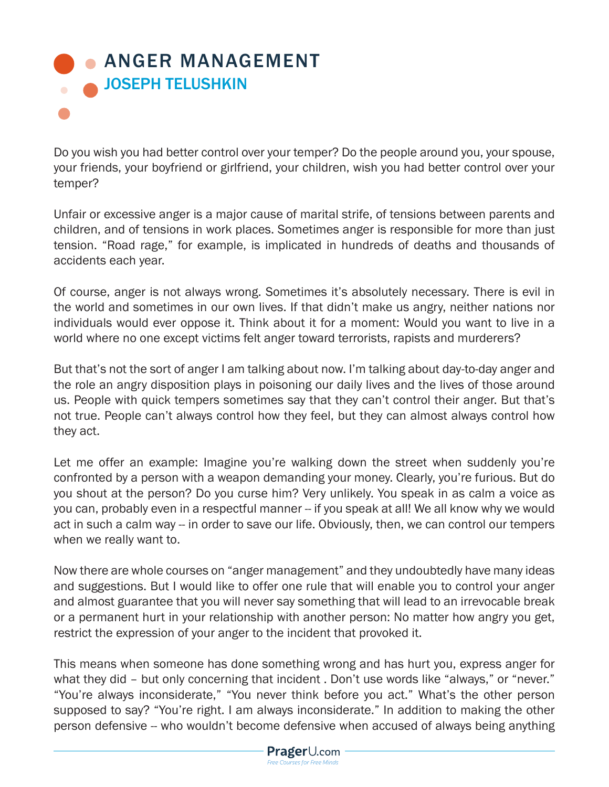## **• [ANGER MANAGEMENT](https://www.prageru.com/courses/life-studies/anger-management)** JOSEPH TELUSHKIN

Do you wish you had better control over your temper? Do the people around you, your spouse, your friends, your boyfriend or girlfriend, your children, wish you had better control over your temper?

Unfair or excessive anger is a major cause of marital strife, of tensions between parents and children, and of tensions in work places. Sometimes anger is responsible for more than just tension. "Road rage," for example, is implicated in hundreds of deaths and thousands of accidents each year.

Of course, anger is not always wrong. Sometimes it's absolutely necessary. There is evil in the world and sometimes in our own lives. If that didn't make us angry, neither nations nor individuals would ever oppose it. Think about it for a moment: Would you want to live in a world where no one except victims felt anger toward terrorists, rapists and murderers?

But that's not the sort of anger I am talking about now. I'm talking about day-to-day anger and the role an angry disposition plays in poisoning our daily lives and the lives of those around us. People with quick tempers sometimes say that they can't control their anger. But that's not true. People can't always control how they feel, but they can almost always control how they act.

Let me offer an example: Imagine you're walking down the street when suddenly you're confronted by a person with a weapon demanding your money. Clearly, you're furious. But do you shout at the person? Do you curse him? Very unlikely. You speak in as calm a voice as you can, probably even in a respectful manner -- if you speak at all! We all know why we would act in such a calm way -- in order to save our life. Obviously, then, we can control our tempers when we really want to.

Now there are whole courses on "anger management" and they undoubtedly have many ideas and suggestions. But I would like to offer one rule that will enable you to control your anger and almost guarantee that you will never say something that will lead to an irrevocable break or a permanent hurt in your relationship with another person: No matter how angry you get, restrict the expression of your anger to the incident that provoked it.

This means when someone has done something wrong and has hurt you, express anger for what they did – but only concerning that incident. Don't use words like "always," or "never." "You're always inconsiderate," "You never think before you act." What's the other person supposed to say? "You're right. I am always inconsiderate." In addition to making the other person defensive -- who wouldn't become defensive when accused of always being anything